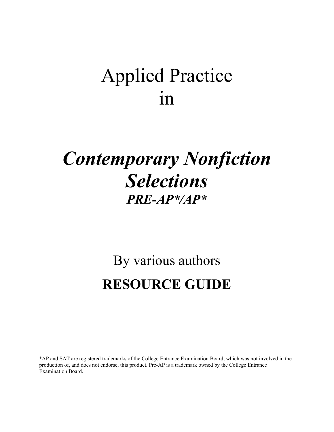# Applied Practice in

## *Contemporary Nonfiction Selections PRE-AP\*/AP\**

## By various authors **RESOURCE GUIDE**

\*AP and SAT are registered trademarks of the College Entrance Examination Board, which was not involved in the production of, and does not endorse, this product. Pre-AP is a trademark owned by the College Entrance Examination Board.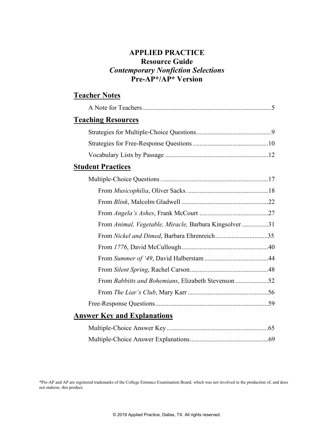## **APPLIED PRACTICE Resource Guide** *Contemporary Nonfiction Selections* **Pre-AP\*/AP\* Version**

### **Teacher Notes**

### **Answer Key and Explanations**

\*Pre-AP and AP are registered trademarks of the College Entrance Examination Board, which was not involved in the production of, and does not endorse, this product.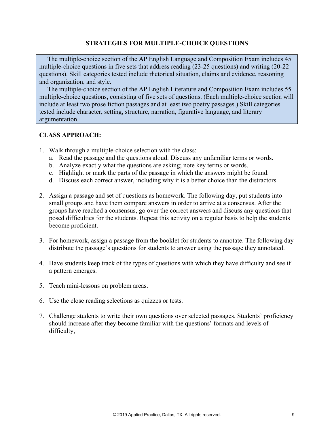#### **STRATEGIES FOR MULTIPLE-CHOICE QUESTIONS**

 The multiple-choice section of the AP English Language and Composition Exam includes 45 multiple-choice questions in five sets that address reading (23-25 questions) and writing (20-22 questions). Skill categories tested include rhetorical situation, claims and evidence, reasoning and organization, and style.

 The multiple-choice section of the AP English Literature and Composition Exam includes 55 multiple-choice questions, consisting of five sets of questions. (Each multiple-choice section will include at least two prose fiction passages and at least two poetry passages.) Skill categories tested include character, setting, structure, narration, figurative language, and literary argumentation.

#### **CLASS APPROACH:**

- 1. Walk through a multiple-choice selection with the class:
	- a. Read the passage and the questions aloud. Discuss any unfamiliar terms or words.
	- b. Analyze exactly what the questions are asking; note key terms or words.
	- c. Highlight or mark the parts of the passage in which the answers might be found.
	- d. Discuss each correct answer, including why it is a better choice than the distractors.
- 2. Assign a passage and set of questions as homework. The following day, put students into small groups and have them compare answers in order to arrive at a consensus. After the groups have reached a consensus, go over the correct answers and discuss any questions that posed difficulties for the students. Repeat this activity on a regular basis to help the students become proficient.
- 3. For homework, assign a passage from the booklet for students to annotate. The following day distribute the passage's questions for students to answer using the passage they annotated.
- 4. Have students keep track of the types of questions with which they have difficulty and see if a pattern emerges.
- 5. Teach mini-lessons on problem areas.
- 6. Use the close reading selections as quizzes or tests.
- 7. Challenge students to write their own questions over selected passages. Students' proficiency should increase after they become familiar with the questions' formats and levels of difficulty,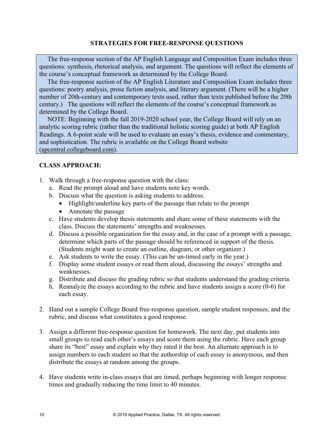#### **STRATEGIES FOR FREE-RESPONSE QUESTIONS**

 The free-response section of the AP English Language and Composition Exam includes three questions: synthesis, rhetorical analysis, and argument. The questions will reflect the elements of the course's conceptual framework as determined by the College Board.

 The free-response section of the AP English Literature and Composition Exam includes three questions: poetry analysis, prose fiction analysis, and literary argument. (There will be a higher number of 20th-century and contemporary texts used, rather than texts published before the 20th century.) The questions will reflect the elements of the course's conceptual framework as determined by the College Board.

 NOTE: Beginning with the fall 2019-2020 school year, the College Board will rely on an analytic scoring rubric (rather than the traditional holistic scoring guide) at both AP English Readings. A 6-point scale will be used to evaluate an essay's thesis, evidence and commentary, and sophistication. The rubric is available on the College Board website (apcentral.collegeboard.com).

#### **CLASS APPROACH:**

- 1. Walk through a free-response question with the class:
	- a. Read the prompt aloud and have students note key words.
	- b. Discuss what the question is asking students to address.
		- Highlight/underline key parts of the passage that relate to the prompt
		- Annotate the passage
	- c. Have students develop thesis statements and share some of these statements with the class. Discuss the statements' strengths and weaknesses.
	- d. Discuss a possible organization for the essay and, in the case of a prompt with a passage, determine which parts of the passage should be referenced in support of the thesis. (Students might want to create an outline, diagram, or other organizer.)
	- e. Ask students to write the essay. (This can be un-timed early in the year.)
	- f. Display some student essays or read them aloud, discussing the essays' strengths and weaknesses.
	- g. Distribute and discuss the grading rubric so that students understand the grading criteria.
	- h. Reanalyze the essays according to the rubric and have students assign a score (0-6) for each essay.
- 2. Hand out a sample College Board free-response question, sample student responses, and the rubric, and discuss what constitutes a good response.
- 3. Assign a different free-response question for homework. The next day, put students into small groups to read each other's essays and score them using the rubric. Have each group share its "best" essay and explain why they rated it the best. An alternate approach is to assign numbers to each student so that the authorship of each essay is anonymous, and then distribute the essays at random among the groups.
- 4. Have students write in-class essays that are timed, perhaps beginning with longer response times and gradually reducing the time limit to 40 minutes.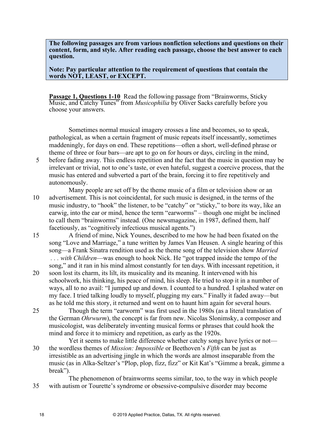**The following passages are from various nonfiction selections and questions on their content, form, and style. After reading each passage, choose the best answer to each question.** 

**Note: Pay particular attention to the requirement of questions that contain the words NOT, LEAST, or EXCEPT.** 

**Passage 1, Questions 1-10** Read the following passage from "Brainworms, Sticky" Music, and Catchy Tunes" from *Musicophilia* by Oliver Sacks carefully before you choose your answers.

 Sometimes normal musical imagery crosses a line and becomes, so to speak, pathological, as when a certain fragment of music repeats itself incessantly, sometimes maddeningly, for days on end. These repetitions—often a short, well-defined phrase or theme of three or four bars—are apt to go on for hours or days, circling in the mind,

- 5 before fading away. This endless repetition and the fact that the music in question may be irrelevant or trivial, not to one's taste, or even hateful, suggest a coercive process, that the music has entered and subverted a part of the brain, forcing it to fire repetitively and autonomously.
- Many people are set off by the theme music of a film or television show or an 10 advertisement. This is not coincidental, for such music is designed, in the terms of the music industry, to "hook" the listener, to be "catchy" or "sticky," to bore its way, like an earwig, into the ear or mind, hence the term "earworms" – though one might be inclined to call them "brainworms" instead. (One newsmagazine, in 1987, defined them, half facetiously, as "cognitively infectious musical agents.")
- 15 A friend of mine, Nick Younes, described to me how he had been fixated on the song "Love and Marriage," a tune written by James Van Heusen. A single hearing of this song—a Frank Sinatra rendition used as the theme song of the television show *Married . . . with Children*—was enough to hook Nick. He "got trapped inside the tempo of the song," and it ran in his mind almost constantly for ten days. With incessant repetition, it
- 20 soon lost its charm, its lilt, its musicality and its meaning. It intervened with his schoolwork, his thinking, his peace of mind, his sleep. He tried to stop it in a number of ways, all to no avail: "I jumped up and down. I counted to a hundred. I splashed water on my face. I tried talking loudly to myself, plugging my ears." Finally it faded away—but as he told me this story, it returned and went on to haunt him again for several hours.
- 25 Though the term "earworm" was first used in the 1980s (as a literal translation of the German *Ohrwurm*), the concept is far from new. Nicolas Slonimsky, a composer and musicologist, was deliberately inventing musical forms or phrases that could hook the mind and force it to mimicry and repetition, as early as the 1920s.

 Yet it seems to make little difference whether catchy songs have lyrics or not— 30 the wordless themes of *Mission: Impossible* or Beethoven's *Fifth* can be just as irresistible as an advertising jingle in which the words are almost inseparable from the music (as in Alka-Seltzer's "Plop, plop, fizz, fizz" or Kit Kat's "Gimme a break, gimme a break").

The phenomenon of brainworms seems similar, too, to the way in which people 35 with autism or Tourette's syndrome or obsessive-compulsive disorder may become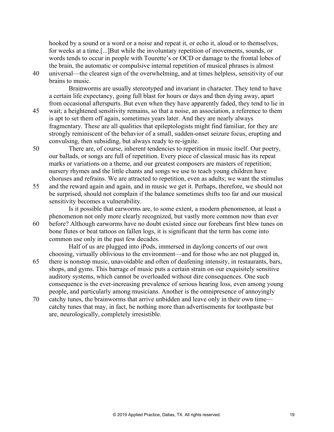hooked by a sound or a word or a noise and repeat it, or echo it, aloud or to themselves, for weeks at a time.[...]But while the involuntary repetition of movements, sounds, or words tends to occur in people with Tourette's or OCD or damage to the frontal lobes of the brain, the automatic or compulsive internal repetition of musical phrases is almost

40 universal—the clearest sign of the overwhelming, and at times helpless, sensitivity of our brains to music.

 Brainworms are usually stereotyped and invariant in character. They tend to have a certain life expectancy, going full blast for hours or days and then dying away, apart from occasional afterspurts. But even when they have apparently faded, they tend to lie in

- 45 wait; a heightened sensitivity remains, so that a noise, an association, a reference to them is apt to set them off again, sometimes years later. And they are nearly always fragmentary. These are all qualities that epileptologists might find familiar, for they are strongly reminiscent of the behavior of a small, sudden-onset seizure focus, erupting and convulsing, then subsiding, but always ready to re-ignite.
- 50 There are, of course, inherent tendencies to repetition in music itself. Our poetry, our ballads, or songs are full of repetition. Every piece of classical music has its repeat marks or variations on a theme, and our greatest composers are masters of repetition; nursery rhymes and the little chants and songs we use to teach young children have choruses and refrains. We are attracted to repetition, even as adults; we want the stimulus
- 55 and the reward again and again, and in music we get it. Perhaps, therefore, we should not be surprised, should not complain if the balance sometimes shifts too far and our musical sensitivity becomes a vulnerability.

 Is it possible that earworms are, to some extent, a modern phenomenon, at least a phenomenon not only more clearly recognized, but vastly more common now than ever

60 before? Although earworms have no doubt existed since our forebears first blew tunes on bone flutes or beat tattoos on fallen logs, it is significant that the term has come into common use only in the past few decades.

 Half of us are plugged into iPods, immersed in daylong concerts of our own choosing, virtually oblivious to the environment—and for those who are not plugged in,

- 65 there is nonstop music, unavoidable and often of deafening intensity, in restaurants, bars, shops, and gyms. This barrage of music puts a certain strain on our exquisitely sensitive auditory systems, which cannot be overloaded without dire consequences. One such consequence is the ever-increasing prevalence of serious hearing loss, even among young people, and particularly among musicians. Another is the omnipresence of annoyingly
- 70 catchy tunes, the brainworms that arrive unbidden and leave only in their own time catchy tunes that may, in fact, be nothing more than advertisements for toothpaste but are, neurologically, completely irresistible.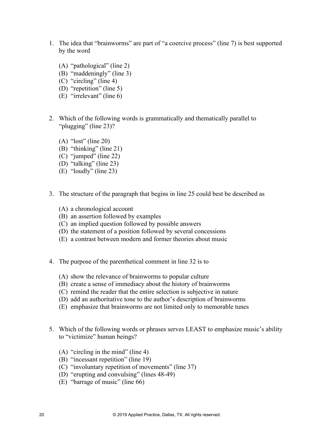- 1. The idea that "brainworms" are part of "a coercive process" (line 7) is best supported by the word
	- (A) "pathological" (line 2)
	- (B) "maddeningly" (line 3)
	- (C) "circling" (line 4)
	- (D) "repetition" (line 5)
	- (E) "irrelevant" (line 6)
- 2. Which of the following words is grammatically and thematically parallel to "plugging" (line 23)?
	- (A) "lost" (line 20)
	- (B) "thinking" (line 21)
	- (C) "jumped" (line 22)
	- (D) "talking" (line 23)
	- (E) "loudly" (line 23)
- 3. The structure of the paragraph that begins in line 25 could best be described as
	- (A) a chronological account
	- (B) an assertion followed by examples
	- (C) an implied question followed by possible answers
	- (D) the statement of a position followed by several concessions
	- (E) a contrast between modern and former theories about music
- 4. The purpose of the parenthetical comment in line 32 is to
	- (A) show the relevance of brainworms to popular culture
	- (B) create a sense of immediacy about the history of brainworms
	- (C) remind the reader that the entire selection is subjective in nature
	- (D) add an authoritative tone to the author's description of brainworms
	- (E) emphasize that brainworms are not limited only to memorable tunes
- 5. Which of the following words or phrases serves LEAST to emphasize music's ability to "victimize" human beings?
	- $(A)$  "circling in the mind" (line 4)
	- (B) "incessant repetition" (line 19)
	- (C) "involuntary repetition of movements" (line 37)
	- (D) "erupting and convulsing" (lines 48-49)
	- (E) "barrage of music" (line 66)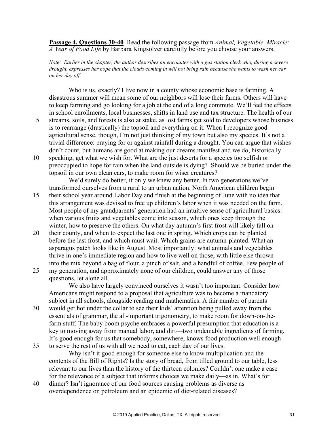**Passage 4, Questions 30-40** Read the following passage from *Animal, Vegetable, Miracle: A Year of Food Life* by Barbara Kingsolver carefully before you choose your answers.

*Note: Earlier in the chapter, the author describes an encounter with a gas station clerk who, during a severe drought, expresses her hope that the clouds coming in will not bring rain because she wants to wash her car on her day off.*

 Who is us, exactly? I live now in a county whose economic base is farming. A disastrous summer will mean some of our neighbors will lose their farms. Others will have to keep farming and go looking for a job at the end of a long commute. We'll feel the effects in school enrollments, local businesses, shifts in land use and tax structure. The health of our

- 5 streams, soils, and forests is also at stake, as lost farms get sold to developers whose business is to rearrange (drastically) the topsoil and everything on it. When I recognize good agricultural sense, though, I'm not just thinking of my town but also my species. It's not a trivial difference: praying for or against rainfall during a drought. You can argue that wishes don't count, but humans are good at making our dreams manifest and we do, historically
- 10 speaking, get what we wish for. What are the just deserts for a species too selfish or preoccupied to hope for rain when the land outside is dying? Should we be buried under the topsoil in our own clean cars, to make room for wiser creatures?

We'd surely do better, if only we knew any better. In two generations we've transformed ourselves from a rural to an urban nation. North American children begin

- 15 their school year around Labor Day and finish at the beginning of June with no idea that this arrangement was devised to free up children's labor when it was needed on the farm. Most people of my grandparents' generation had an intuitive sense of agricultural basics: when various fruits and vegetables come into season, which ones keep through the winter, how to preserve the others. On what day autumn's first frost will likely fall on
- 20 their county, and when to expect the last one in spring. Which crops can be planted before the last frost, and which must wait. Which grains are autumn-planted. What an asparagus patch looks like in August. Most importantly: what animals and vegetables thrive in one's immediate region and how to live well on those, with little else thrown into the mix beyond a bag of flour, a pinch of salt, and a handful of coffee. Few people of 25 my generation, and approximately none of our children, could answer any of those
- questions, let alone all.

 We also have largely convinced ourselves it wasn't too important. Consider how Americans might respond to a proposal that agriculture was to become a mandatory subject in all schools, alongside reading and mathematics. A fair number of parents

- 30 would get hot under the collar to see their kids' attention being pulled away from the essentials of grammar, the all-important trigonometry, to make room for down-on-thefarm stuff. The baby boom psyche embraces a powerful presumption that education is a key to moving away from manual labor, and dirt—two undeniable ingredients of farming. It's good enough for us that somebody, somewhere, knows food production well enough 35 to serve the rest of us with all we need to eat, each day of our lives.
	- Why isn't it good enough for someone else to know multiplication and the contents of the Bill of Rights? Is the story of bread, from tilled ground to our table, less relevant to our lives than the history of the thirteen colonies? Couldn't one make a case for the relevance of a subject that informs choices we make daily—as in, What's for
- 40 dinner? Isn't ignorance of our food sources causing problems as diverse as overdependence on petroleum and an epidemic of diet-related diseases?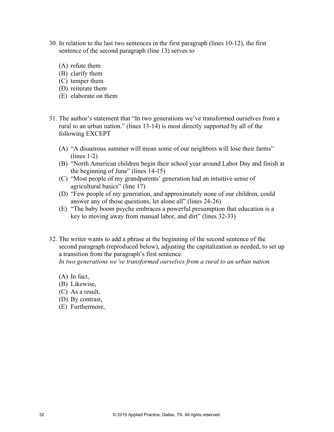- 30. In relation to the last two sentences in the first paragraph (lines 10-12), the first sentence of the second paragraph (line 13) serves to
	- (A) refute them
	- (B) clarify them
	- (C) temper them
	- (D) reiterate them
	- (E) elaborate on them
- 31. The author's statement that "In two generations we've transformed ourselves from a rural to an urban nation." (lines 13-14) is most directly supported by all of the following EXCEPT
	- (A) "A disastrous summer will mean some of our neighbors will lose their farms" (lines 1-2)
	- (B) "North American children begin their school year around Labor Day and finish at the beginning of June" (lines 14-15)
	- (C) "Most people of my grandparents' generation had an intuitive sense of agricultural basics" (line 17)
	- (D) "Few people of my generation, and approximately none of our children, could answer any of those questions, let alone all" (lines 24-26)
	- (E) "The baby boom psyche embraces a powerful presumption that education is a key to moving away from manual labor, and dirt" (lines 32-33)
- 32. The writer wants to add a phrase at the beginning of the second sentence of the second paragraph (reproduced below), adjusting the capitalization as needed, to set up a transition from the paragraph's first sentence. *In two generations we've transformed ourselves from a rural to an urban nation.*
	- (A) In fact,
	- (B) Likewise,
	- (C) As a result,
	- (D) By contrast,
	- (E) Furthermore,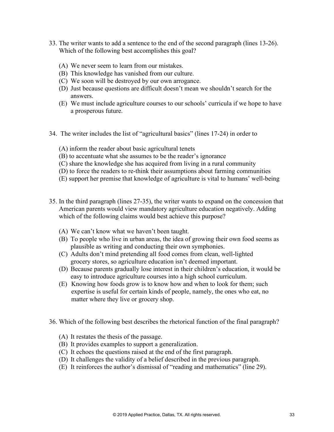- 33. The writer wants to add a sentence to the end of the second paragraph (lines 13-26). Which of the following best accomplishes this goal?
	- (A) We never seem to learn from our mistakes.
	- (B) This knowledge has vanished from our culture.
	- (C) We soon will be destroyed by our own arrogance.
	- (D) Just because questions are difficult doesn't mean we shouldn't search for the answers.
	- (E) We must include agriculture courses to our schools' curricula if we hope to have a prosperous future.
- 34. The writer includes the list of "agricultural basics" (lines 17-24) in order to
	- (A) inform the reader about basic agricultural tenets
	- (B) to accentuate what she assumes to be the reader's ignorance
	- (C) share the knowledge she has acquired from living in a rural community
	- (D) to force the readers to re-think their assumptions about farming communities
	- (E) support her premise that knowledge of agriculture is vital to humans' well-being
- 35. In the third paragraph (lines 27-35), the writer wants to expand on the concession that American parents would view mandatory agriculture education negatively. Adding which of the following claims would best achieve this purpose?
	- (A) We can't know what we haven't been taught.
	- (B) To people who live in urban areas, the idea of growing their own food seems as plausible as writing and conducting their own symphonies.
	- (C) Adults don't mind pretending all food comes from clean, well-lighted grocery stores, so agriculture education isn't deemed important.
	- (D) Because parents gradually lose interest in their children's education, it would be easy to introduce agriculture courses into a high school curriculum.
	- (E) Knowing how foods grow is to know how and when to look for them; such expertise is useful for certain kinds of people, namely, the ones who eat, no matter where they live or grocery shop.
- 36. Which of the following best describes the rhetorical function of the final paragraph?
	- (A) It restates the thesis of the passage.
	- (B) It provides examples to support a generalization.
	- (C) It echoes the questions raised at the end of the first paragraph.
	- (D) It challenges the validity of a belief described in the previous paragraph.
	- (E) It reinforces the author's dismissal of "reading and mathematics" (line 29).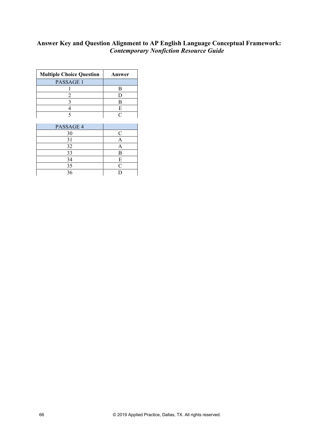#### **Answer Key and Question Alignment to AP English Language Conceptual Framework:**  *Contemporary Nonfiction Resource Guide*

| <b>Multiple Choice Question</b> | Answer |
|---------------------------------|--------|
| PASSAGE 1                       |        |
|                                 |        |
|                                 |        |
|                                 |        |
|                                 | F      |
|                                 | $\cap$ |

| PASSAGE 4 |   |
|-----------|---|
| 30        | C |
| 31        | А |
| 32        |   |
| 33        | В |
| 34        | Е |
| 35        | C |
| 36        |   |